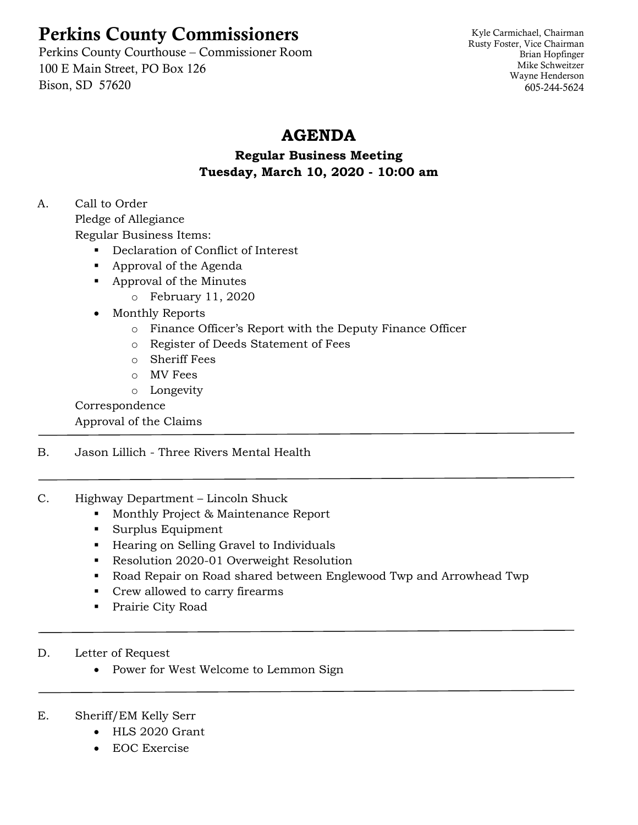# Perkins County Commissioners

Perkins County Courthouse – Commissioner Room 100 E Main Street, PO Box 126 Bison, SD 57620

Kyle Carmichael, Chairman Rusty Foster, Vice Chairman Brian Hopfinger Mike Schweitzer Wayne Henderson 605-244-5624

## **AGENDA**

## **Regular Business Meeting Tuesday, March 10, 2020 - 10:00 am**

# A. Call to Order

Pledge of Allegiance Regular Business Items:

- Declaration of Conflict of Interest
- Approval of the Agenda
- Approval of the Minutes
	- o February 11, 2020
- Monthly Reports
	- o Finance Officer's Report with the Deputy Finance Officer
	- o Register of Deeds Statement of Fees
	- o Sheriff Fees
	- o MV Fees
	- o Longevity

## Correspondence

Approval of the Claims

- B. Jason Lillich Three Rivers Mental Health
- C. Highway Department Lincoln Shuck
	- Monthly Project & Maintenance Report
	- Surplus Equipment
	- Hearing on Selling Gravel to Individuals
	- Resolution 2020-01 Overweight Resolution
	- Road Repair on Road shared between Englewood Twp and Arrowhead Twp
	- Crew allowed to carry firearms
	- Prairie City Road
- D. Letter of Request
	- Power for West Welcome to Lemmon Sign
- E. Sheriff/EM Kelly Serr
	- HLS 2020 Grant
	- EOC Exercise